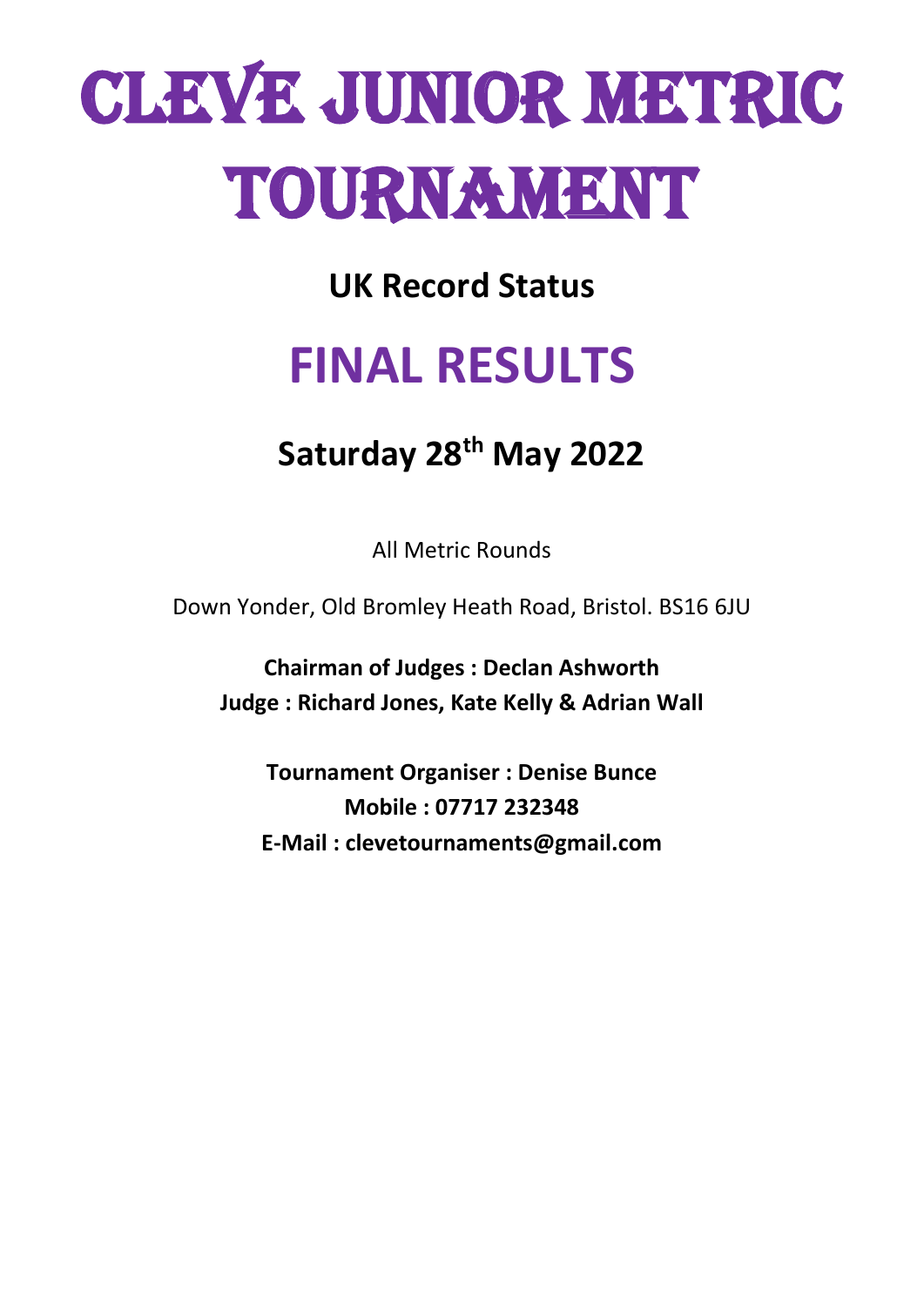# CLEVE JUNIOR METRIC TOURNAMENT

**UK Record Status**

# **FINAL RESULTS**

## **Saturday 28 th May 2022**

All Metric Rounds

Down Yonder, Old Bromley Heath Road, Bristol. BS16 6JU

**Chairman of Judges : Declan Ashworth Judge : Richard Jones, Kate Kelly & Adrian Wall**

**Tournament Organiser : Denise Bunce Mobile : 07717 232348 E-Mail : clevetournaments@gmail.com**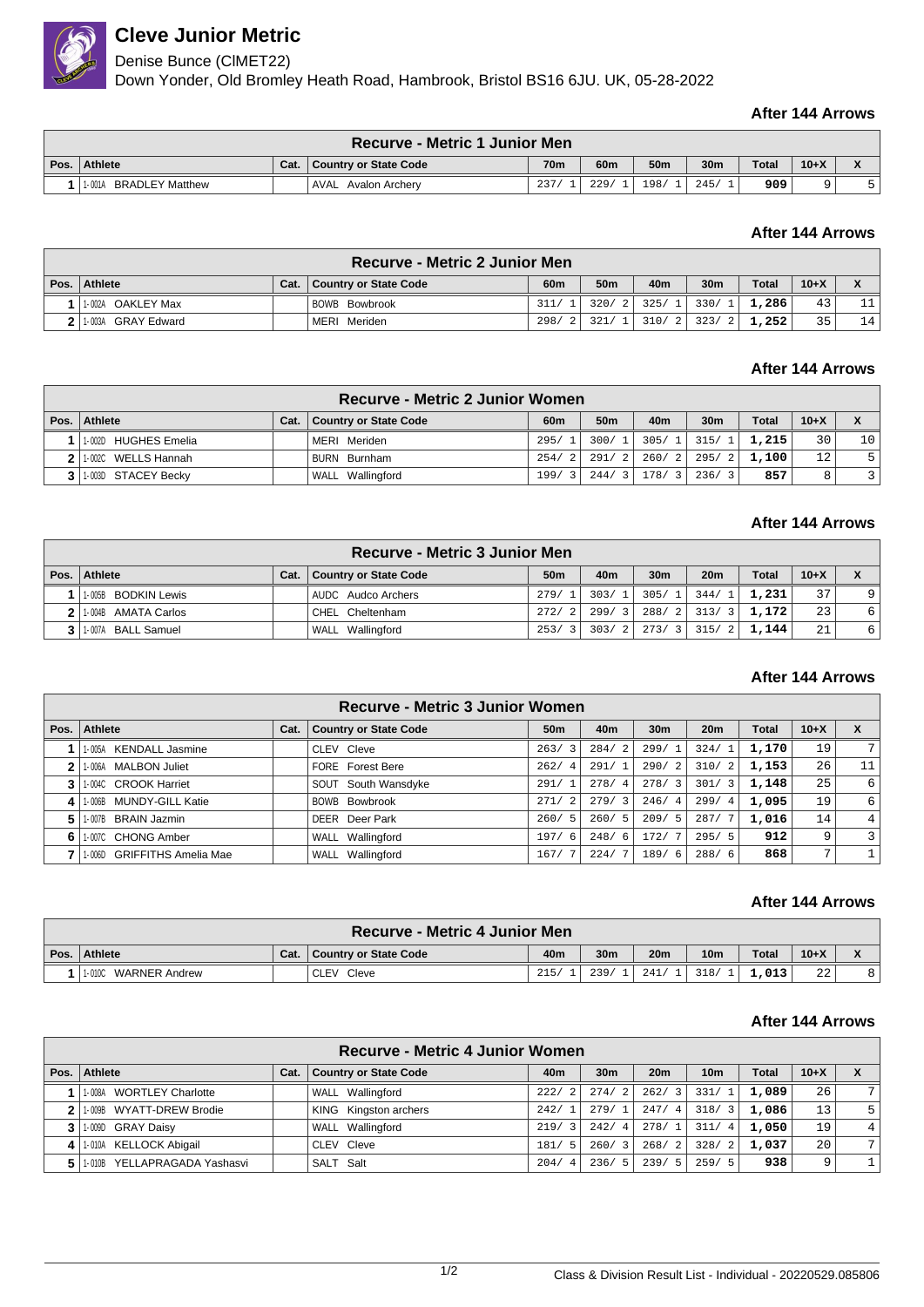

## **Cleve Junior Metric**

Denise Bunce (ClMET22)

Down Yonder, Old Bromley Heath Road, Hambrook, Bristol BS16 6JU. UK, 05-28-2022

## **After 144 Arrows**

| <b>Recurve - Metric 1 Junior Men</b> |      |                              |      |                 |                 |      |              |        |  |  |
|--------------------------------------|------|------------------------------|------|-----------------|-----------------|------|--------------|--------|--|--|
| Pos. Athlete                         | Cat. | <b>Country or State Code</b> | 70m  | 60 <sub>m</sub> | 50 <sub>m</sub> | 30m  | <b>Total</b> | $10+X$ |  |  |
| <b>BRADLEY Matthew</b><br>1-001A     |      | <b>AVAL</b> Avalon Archerv   | 237. | 229/            | 198/            | 245/ | 909          |        |  |  |

## **After 144 Arrows**

|      | <b>Recurve - Metric 2 Junior Men</b> |      |                       |                 |                              |             |                 |              |        |                  |  |
|------|--------------------------------------|------|-----------------------|-----------------|------------------------------|-------------|-----------------|--------------|--------|------------------|--|
| Pos. | <b>Athlete</b>                       | Cat. | Country or State Code | 60 <sub>m</sub> | 50 <sub>m</sub>              | 40m         | 30 <sub>m</sub> | <b>Total</b> | $10+X$ | $\mathbf v$<br>Λ |  |
|      | 1-002A OAKLEY Max                    |      | BOWB Bowbrook         |                 | $311/1$ 320/ 2 325/ 1 330/ 1 |             |                 | 1,286        | 43     | 11               |  |
|      | 2 1.003A GRAY Edward                 |      | MERI Meriden          | 298/            |                              | 321/1 310/2 | 323/21          | 1,252        | 35     | 14               |  |

## **After 144 Arrows**

| Recurve - Metric 2 Junior Women |      |                       |                        |                 |               |                     |              |        |                |  |  |
|---------------------------------|------|-----------------------|------------------------|-----------------|---------------|---------------------|--------------|--------|----------------|--|--|
| Pos. Athlete                    | Cat. | Country or State Code | 60 <sub>m</sub>        | 50 <sub>m</sub> | 40m           | 30 <sub>m</sub>     | <b>Total</b> | $10+X$ |                |  |  |
| 1-002D HUGHES Emelia            |      | MERI Meriden          | 295/                   | 300/1           |               | 305/1 315/1         | 1,215        | 30     | 10             |  |  |
| 2 1.002C WELLS Hannah           |      | BURN Burnham          | $\overline{2}$<br>254/ |                 |               | $291/2$ 260/2 295/2 | 1,100        | 12     |                |  |  |
| 3   1-003D STACEY Becky         |      | WALL Wallingford      | 199/<br>$\overline{3}$ |                 | $244/3$ 178/3 | 236/3               | 857          |        | $\overline{3}$ |  |  |

## **After 144 Arrows**

| <b>Recurve - Metric 3 Junior Men</b> |      |                              |                                 |       |                 |                 |       |                 |                  |  |
|--------------------------------------|------|------------------------------|---------------------------------|-------|-----------------|-----------------|-------|-----------------|------------------|--|
| Pos.   Athlete                       | Cat. | <b>Country or State Code</b> | 50 <sub>m</sub>                 | 40m   | 30 <sub>m</sub> | 20 <sub>m</sub> | Total | $10+X$          |                  |  |
| 1-005B BODKIN Lewis                  |      | AUDC Audco Archers           | 279/1                           | 303/1 |                 | $305/1$ 344/1   | 1,231 | 37              | $\alpha$         |  |
| 2 1.004B AMATA Carlos                |      | CHEL Cheltenham              | 272/<br>$\overline{2}$          | 299/3 |                 | $288/2$ 313/3   | 1,172 | 23              | $6 \overline{6}$ |  |
| 1-007A BALL Samuel                   |      | WALL Wallingford             | 253/<br>$\overline{\mathbf{3}}$ | 303/2 | 273/3 315/      |                 | 1,144 | 21 <sub>1</sub> | 6                |  |

## **After 144 Arrows**

|      | Recurve - Metric 3 Junior Women  |      |                              |                        |                    |                 |                        |       |        |                |  |  |
|------|----------------------------------|------|------------------------------|------------------------|--------------------|-----------------|------------------------|-------|--------|----------------|--|--|
| Pos. | Athlete                          | Cat. | <b>Country or State Code</b> | 50 <sub>m</sub>        | 40 <sub>m</sub>    | 30 <sub>m</sub> | 20 <sub>m</sub>        | Total | $10+X$ | X              |  |  |
|      | <b>KENDALL Jasmine</b><br>1-005A |      | CLEV Cleve                   | 263/3                  | $\sqrt{2}$<br>284/ | 299/1           | 324/                   | 1,170 | 19     |                |  |  |
|      | 1-006A MALBON Juliet             |      | <b>FORE</b> Forest Bere      | 262/<br>$\overline{4}$ | 291/1              | 290/2           | 310/<br>$\overline{2}$ | 1,153 | 26     | 11             |  |  |
|      | 1-004C CROOK Harriet             |      | SOUT South Wansdyke          | 291/1                  | 278/4              | 278/3           | 301/<br>3              | 1,148 | 25     | 6              |  |  |
|      | 1-006B MUNDY-GILL Katie          |      | <b>BOWB</b> Bowbrook         | $\overline{2}$<br>271/ | 279/3              | 246/4           | 299/<br>$\overline{4}$ | 1,095 | 19     | 6              |  |  |
| 5    | 1-007B BRAIN Jazmin              |      | DEER Deer Park               | 260/5                  | 260/5              | 209/5           | 287/                   | 1,016 | 14     | 4              |  |  |
| 6    | 1-007C CHONG Amber               |      | WALL Wallingford             | 197/<br>- 6            | 248/<br>6          | 172/            | 295/5                  | 912   | 9      | $\overline{3}$ |  |  |
|      | 1-006D GRIFFITHS Amelia Mae      |      | Wallingford<br>WALL          | 167/7                  | 224/               | 189/6           | 288/6                  | 868   | ⇁      |                |  |  |

#### **After 144 Arrows**

| <b>Recurve - Metric 4 Junior Men</b> |      |                       |      |                 |                 |                 |              |        |              |  |  |
|--------------------------------------|------|-----------------------|------|-----------------|-----------------|-----------------|--------------|--------|--------------|--|--|
| Pos. Athlete                         | Cat. | Country or State Code | 40m  | 30 <sub>m</sub> | 20 <sub>m</sub> | 10 <sub>m</sub> | <b>Total</b> | $10+X$ | $\mathbf{v}$ |  |  |
| 1-010C<br><b>WARNER Andrew</b>       |      | Cleve<br><b>CLEV</b>  | 215/ | 239             | 241             | 318/            | ⊥,013'       | 22     |              |  |  |

### **After 144 Arrows**

|      | Recurve - Metric 4 Junior Women |      |                              |                        |                                 |                 |                      |              |        |                |  |  |
|------|---------------------------------|------|------------------------------|------------------------|---------------------------------|-----------------|----------------------|--------------|--------|----------------|--|--|
| Pos. | Athlete                         | Cat. | <b>Country or State Code</b> | 40m                    | 30 <sub>m</sub>                 | 20 <sub>m</sub> | 10 <sub>m</sub>      | <b>Total</b> | $10+X$ | X              |  |  |
|      | 1-008A WORTLEY Charlotte        |      | WALL Wallingford             | 222/<br>$\overline{2}$ | <sup>2</sup><br>274/            | 262/3           | 331/1                | 1,089        | 26     | 7 <sup>1</sup> |  |  |
|      | 1-009B WYATT-DREW Brodie        |      | KING Kingston archers        | 242/                   | 279/                            | 247/4           | 318/3                | 1,086        | 13     |                |  |  |
|      | 1-009D GRAY Daisy               |      | WALL Wallingford             | 219/<br>3              | 242/<br>-41                     | 278/1           | 311/<br>$^{\circ}$ 4 | 1,050        | 19     | 4 <sup>1</sup> |  |  |
| 4    | 1-010A KELLOCK Abigail          |      | CLEV Cleve                   | 181/<br>-5             | 260/<br>$\overline{\mathbf{3}}$ | 268/2           | 328/<br>- 2          | 1,037        | 20     | 7 <sup>1</sup> |  |  |
|      | 1-010B YELLAPRAGADA Yashasvi    |      | SALT Salt                    | 204/<br>$\overline{4}$ | 236/<br>-5 I                    | 239/5           | 259/5                | 938          | 9      |                |  |  |